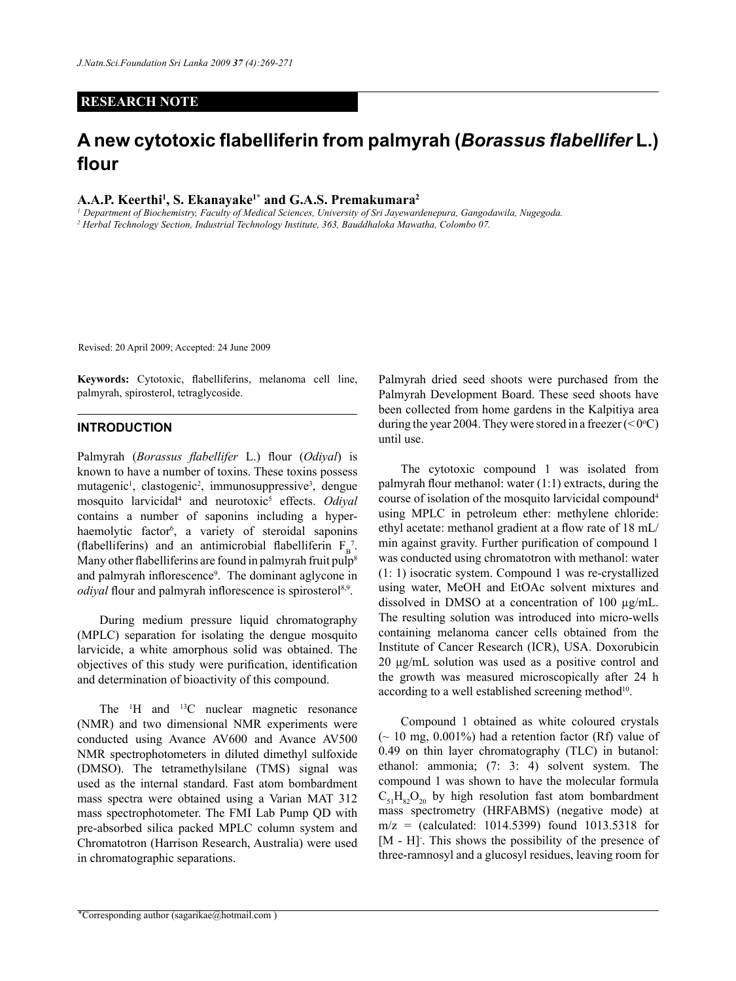## **RESEARCH NOTE**

# **A new cytotoxic flabelliferin from palmyrah (***Borassus flabellifer* **L.) flour**

**A.A.P. Keerthi1 , S. Ekanayake1\* and G.A.S. Premakumara2**

*<sup>1</sup> Department of Biochemistry, Faculty of Medical Sciences, University of Sri Jayewardenepura, Gangodawila, Nugegoda. 2 Herbal Technology Section, Industrial Technology Institute, 363, Bauddhaloka Mawatha, Colombo 07.*

Revised: 20 April 2009; Accepted: 24 June 2009

**Keywords:** Cytotoxic, flabelliferins, melanoma cell line, palmyrah, spirosterol, tetraglycoside.

#### **Introduction**

Palmyrah (*Borassus flabellifer* L.) flour (*Odiyal*) is known to have a number of toxins. These toxins possess mutagenic<sup>1</sup>, clastogenic<sup>2</sup>, immunosuppressive<sup>3</sup>, dengue mosquito larvicidal4 and neurotoxic5 effects. *Odiyal* contains a number of saponins including a hyperhaemolytic factor<sup>6</sup>, a variety of steroidal saponins (flabelliferins) and an antimicrobial flabelliferin  $F_B^7$ . Many other flabelliferins are found in palmyrah fruit pulp<sup>8</sup> and palmyrah inflorescence<sup>9</sup> . The dominant aglycone in *odiyal* flour and palmyrah inflorescence is spirosterol<sup>8,9</sup>.

During medium pressure liquid chromatography (MPLC) separation for isolating the dengue mosquito larvicide, a white amorphous solid was obtained. The objectives of this study were purification, identification and determination of bioactivity of this compound.

The <sup>1</sup>H and <sup>13</sup>C nuclear magnetic resonance (NMR) and two dimensional NMR experiments were conducted using Avance AV600 and Avance AV500 NMR spectrophotometers in diluted dimethyl sulfoxide (DMSO). The tetramethylsilane (TMS) signal was used as the internal standard. Fast atom bombardment mass spectra were obtained using a Varian MAT 312 mass spectrophotometer. The FMI Lab Pump QD with pre-absorbed silica packed MPLC column system and Chromatotron (Harrison Research, Australia) were used in chromatographic separations.

Palmyrah dried seed shoots were purchased from the Palmyrah Development Board. These seed shoots have been collected from home gardens in the Kalpitiya area during the year 2004. They were stored in a freezer  $( $0^{\circ}C$ )$ until use.

The cytotoxic compound 1 was isolated from palmyrah flour methanol: water (1:1) extracts, during the course of isolation of the mosquito larvicidal compound4 using MPLC in petroleum ether: methylene chloride: ethyl acetate: methanol gradient at a flow rate of 18 mL/ min against gravity. Further purification of compound 1 was conducted using chromatotron with methanol: water (1: 1) isocratic system. Compound 1 was re-crystallized using water, MeOH and EtOAc solvent mixtures and dissolved in DMSO at a concentration of 100 µg/mL. The resulting solution was introduced into micro-wells containing melanoma cancer cells obtained from the Institute of Cancer Research (ICR), USA. Doxorubicin 20 μg/mL solution was used as a positive control and the growth was measured microscopically after 24 h according to a well established screening method<sup>10</sup>.

Compound 1 obtained as white coloured crystals  $\sim$  10 mg, 0.001%) had a retention factor (Rf) value of 0.49 on thin layer chromatography (TLC) in butanol: ethanol: ammonia; (7: 3: 4) solvent system. The compound 1 was shown to have the molecular formula  $C_{51}H_{82}O_{20}$  by high resolution fast atom bombardment mass spectrometry (HRFABMS) (negative mode) at  $m/z =$  (calculated: 1014.5399) found 1013.5318 for [M - H]. This shows the possibility of the presence of three-ramnosyl and a glucosyl residues, leaving room for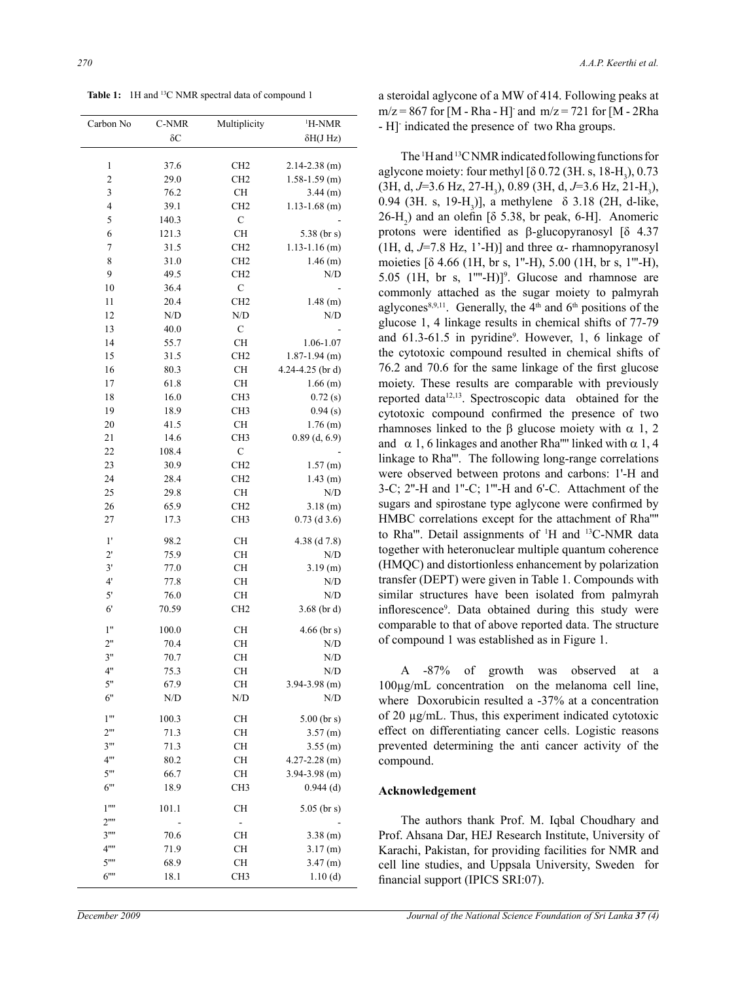**Table 1:** 1H and 13C NMR spectral data of compound 1

| Carbon No                      | C-NMR      | Multiplicity    | <sup>1</sup> H-NMR     |
|--------------------------------|------------|-----------------|------------------------|
|                                | $\delta C$ |                 | $\delta H(J Hz)$       |
|                                |            |                 |                        |
| $\mathbf{1}$                   | 37.6       | CH <sub>2</sub> | $2.14 - 2.38$ (m)      |
| $\overline{\mathbf{c}}$        | 29.0       | CH <sub>2</sub> | $1.58 - 1.59$ (m)      |
| 3                              | 76.2       | <b>CH</b>       | $3.44$ (m)             |
| $\overline{\mathcal{L}}$       | 39.1       | CH <sub>2</sub> | $1.13 - 1.68$ (m)      |
| 5                              | 140.3      | $\mathbf C$     |                        |
| 6                              | 121.3      | <b>CH</b>       | 5.38 ( $\frac{b}{s}$ ) |
| $\boldsymbol{7}$               | 31.5       | CH <sub>2</sub> | $1.13 - 1.16$ (m)      |
| 8                              | 31.0       | CH <sub>2</sub> | $1.46$ (m)             |
| 9                              | 49.5       | CH <sub>2</sub> | N/D                    |
| 10                             | 36.4       | $\mathbf C$     |                        |
| 11                             | 20.4       | CH <sub>2</sub> | $1.48$ (m)             |
| 12                             | N/D        | N/D             | N/D                    |
| 13                             | 40.0       | $\mathbf C$     |                        |
| 14                             | 55.7       | <b>CH</b>       | 1.06-1.07              |
| 15                             | 31.5       | CH <sub>2</sub> | $1.87 - 1.94$ (m)      |
| 16                             | 80.3       | <b>CH</b>       | 4.24-4.25 (br d)       |
| 17                             | 61.8       | <b>CH</b>       | $1.66$ (m)             |
| 18                             | 16.0       | CH <sub>3</sub> | 0.72(s)                |
| 19                             | 18.9       | CH <sub>3</sub> | 0.94(s)                |
| 20                             | 41.5       | <b>CH</b>       | $1.76$ (m)             |
| 21                             | 14.6       | CH <sub>3</sub> | $0.89$ (d, 6.9)        |
| 22                             | 108.4      | $\mathbf C$     |                        |
| 23                             | 30.9       | CH <sub>2</sub> | 1.57(m)                |
| 24                             | 28.4       | CH <sub>2</sub> | $1.43$ (m)             |
| 25                             | 29.8       | <b>CH</b>       | N/D                    |
| 26                             | 65.9       | CH <sub>2</sub> | 3.18(m)                |
| 27                             | 17.3       | CH <sub>3</sub> | $0.73$ (d 3.6)         |
| 1'                             | 98.2       | <b>CH</b>       | 4.38 $(d 7.8)$         |
| $2^{\prime}$                   | 75.9       | <b>CH</b>       | N/D                    |
| 3'                             | 77.0       | <b>CH</b>       | 3.19 (m)               |
| 4'                             | 77.8       | <b>CH</b>       | N/D                    |
| $5'$                           | 76.0       | <b>CH</b>       | N/D                    |
| $6^{\circ}$                    | 70.59      | CH <sub>2</sub> | $3.68$ (brd)           |
| 1"                             | 100.0      | <b>CH</b>       | $4.66$ (br s)          |
| 2"                             | 70.4       | <b>CH</b>       | N/D                    |
| 3"                             | 70.7       | CН              | N/D                    |
| 4"                             | 75.3       | <b>CH</b>       | N/D                    |
| 5"                             | 67.9       | CН              | $3.94 - 3.98$ (m)      |
| 6"                             | N/D        | N/D             | N/D                    |
| 1"                             | 100.3      | <b>CH</b>       | $5.00$ (br s)          |
| $2^{\prime\prime\prime}$       | 71.3       | <b>CH</b>       | $3.57$ (m)             |
| 3"                             | 71.3       | CН              | $3.55$ (m)             |
| 4"'                            | 80.2       | <b>CH</b>       | $4.27 - 2.28$ (m)      |
| 5"                             | 66.7       | <b>CH</b>       | $3.94 - 3.98$ (m)      |
| 6"                             | 18.9       | CH <sub>3</sub> | $0.944$ (d)            |
| $1^{\cdots}$                   | 101.1      | <b>CH</b>       | $5.05$ (br s)          |
| $2^{\cdots}$                   |            |                 |                        |
| $3^{\rm \cdots}$               | 70.6       | CН              | $3.38$ (m)             |
| 4""                            | 71.9       | <b>CH</b>       | 3.17(m)                |
| $5^{\prime\prime\prime\prime}$ | 68.9       | CН              | $3.47$ (m)             |
| 6""                            | 18.1       | CH <sub>3</sub> | 1.10(d)                |

a steroidal aglycone of a MW of 414. Following peaks at  $m/z = 867$  for [M - Rha - H] and  $m/z = 721$  for [M - 2Rha - H]- indicated the presence of two Rha groups.

The <sup>1</sup>H and <sup>13</sup>C NMR indicated following functions for aglycone moiety: four methyl  $[8 0.72 (3H. s, 18-H<sub>3</sub>), 0.73]$ (3H, d, J=3.6 Hz, 27-H<sub>3</sub>), 0.89 (3H, d, J=3.6 Hz, 21-H<sub>3</sub>), 0.94 (3H. s, 19-H<sub>3</sub>)], a methylene  $\delta$  3.18 (2H, d-like,  $26-H_2$ ) and an olefin [ $\delta$  5.38, br peak, 6-H]. Anomeric protons were identified as β-glucopyranosyl [δ 4.37 (1H, d,  $J=7.8$  Hz, 1'-H)] and three  $\alpha$ - rhamnopyranosyl moieties [δ 4.66 (1H, br s, 1''-H), 5.00 (1H, br s, 1'''-H), 5.05 (1H, br s,  $1^{\text{III}}$ -H)]<sup>9</sup>. Glucose and rhamnose are commonly attached as the sugar moiety to palmyrah aglycones<sup>8,9,11</sup>. Generally, the  $4<sup>th</sup>$  and  $6<sup>th</sup>$  positions of the glucose 1, 4 linkage results in chemical shifts of 77-79 and 61.3-61.5 in pyridine<sup>9</sup>. However, 1, 6 linkage of the cytotoxic compound resulted in chemical shifts of 76.2 and 70.6 for the same linkage of the first glucose moiety. These results are comparable with previously reported data<sup>12,13</sup>. Spectroscopic data obtained for the cytotoxic compound confirmed the presence of two rhamnoses linked to the β glucose moiety with  $\alpha$  1, 2 and  $\alpha$  1, 6 linkages and another Rha"" linked with  $\alpha$  1, 4 linkage to Rha'''. The following long-range correlations were observed between protons and carbons: 1'-H and 3-C; 2''-H and 1''-C; 1'''-H and 6'-C. Attachment of the sugars and spirostane type aglycone were confirmed by HMBC correlations except for the attachment of Rha'''' to Rha'''. Detail assignments of <sup>1</sup>H and <sup>13</sup>C-NMR data together with heteronuclear multiple quantum coherence (HMQC) and distortionless enhancement by polarization transfer (DEPT) were given in Table 1. Compounds with similar structures have been isolated from palmyrah inflorescence<sup>9</sup> . Data obtained during this study were comparable to that of above reported data. The structure of compound 1 was established as in Figure 1.

A -87% of growth was observed at a 100µg/mL concentration on the melanoma cell line, where Doxorubicin resulted a -37% at a concentration of 20 µg/mL. Thus, this experiment indicated cytotoxic effect on differentiating cancer cells. Logistic reasons prevented determining the anti cancer activity of the compound.

#### **Acknowledgement**

The authors thank Prof. M. Iqbal Choudhary and Prof. Ahsana Dar, HEJ Research Institute, University of Karachi, Pakistan, for providing facilities for NMR and cell line studies, and Uppsala University, Sweden for financial support (IPICS SRI:07).